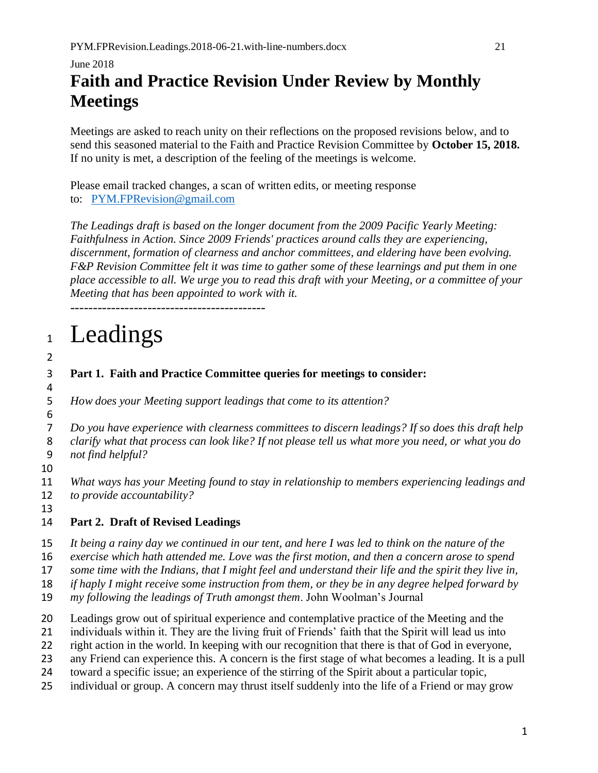### June 2018 **Faith and Practice Revision Under Review by Monthly Meetings**

Meetings are asked to reach unity on their reflections on the proposed revisions below, and to send this seasoned material to the Faith and Practice Revision Committee by **October 15, 2018.** If no unity is met, a description of the feeling of the meetings is welcome.

Please email tracked changes, a scan of written edits, or meeting response to: [PYM.FPRevision@gmail.com](mailto:PYM.FPRC@gmail.com)

*The Leadings draft is based on the longer document from the 2009 Pacific Yearly Meeting: Faithfulness in Action. Since 2009 Friends' practices around calls they are experiencing, discernment, formation of clearness and anchor committees, and eldering have been evolving. F&P Revision Committee felt it was time to gather some of these learnings and put them in one place accessible to all. We urge you to read this draft with your Meeting, or a committee of your Meeting that has been appointed to work with it.*

-------------------------------------------

# 1 Leadings

## 2

4

#### 3 **Part 1. Faith and Practice Committee queries for meetings to consider:**

5 *How does your Meeting support leadings that come to its attention?*

6 7 *Do you have experience with clearness committees to discern leadings? If so does this draft help* 

8 *clarify what that process can look like? If not please tell us what more you need, or what you do*  9 *not find helpful?*

10

11 *What ways has your Meeting found to stay in relationship to members experiencing leadings and*  12 *to provide accountability?*

13

#### 14 **Part 2. Draft of Revised Leadings**

15 *It being a rainy day we continued in our tent, and here I was led to think on the nature of the* 

16 *exercise which hath attended me. Love was the first motion, and then a concern arose to spend* 

17 *some time with the Indians, that I might feel and understand their life and the spirit they live in,* 

18 *if haply I might receive some instruction from them, or they be in any degree helped forward by* 

19 *my following the leadings of Truth amongst them*. John Woolman's Journal

20 Leadings grow out of spiritual experience and contemplative practice of the Meeting and the

21 individuals within it. They are the living fruit of Friends' faith that the Spirit will lead us into

22 right action in the world. In keeping with our recognition that there is that of God in everyone,

23 any Friend can experience this. A concern is the first stage of what becomes a leading. It is a pull

24 toward a specific issue; an experience of the stirring of the Spirit about a particular topic,

25 individual or group. A concern may thrust itself suddenly into the life of a Friend or may grow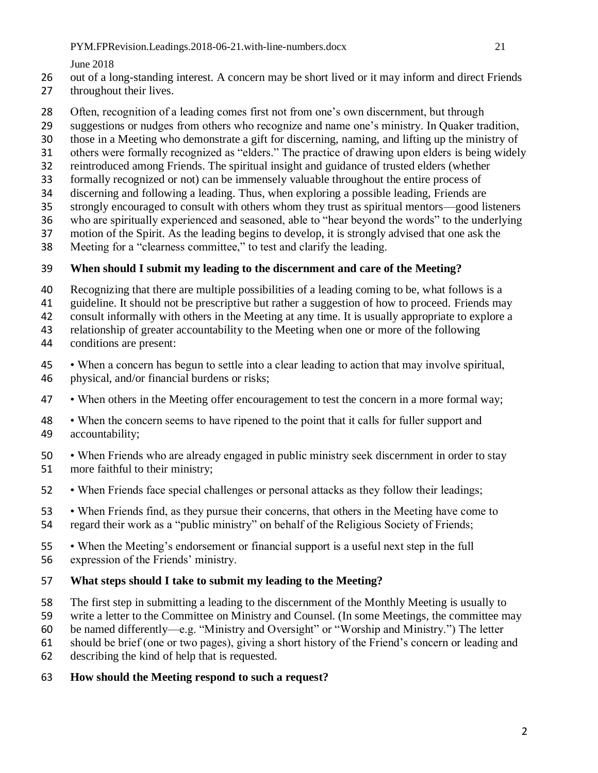June 2018

- out of a long-standing interest. A concern may be short lived or it may inform and direct Friends
- throughout their lives.
- Often, recognition of a leading comes first not from one's own discernment, but through
- suggestions or nudges from others who recognize and name one's ministry. In Quaker tradition,
- those in a Meeting who demonstrate a gift for discerning, naming, and lifting up the ministry of
- others were formally recognized as "elders." The practice of drawing upon elders is being widely
- reintroduced among Friends. The spiritual insight and guidance of trusted elders (whether
- formally recognized or not) can be immensely valuable throughout the entire process of
- discerning and following a leading. Thus, when exploring a possible leading, Friends are
- strongly encouraged to consult with others whom they trust as spiritual mentors—good listeners
- who are spiritually experienced and seasoned, able to "hear beyond the words" to the underlying
- motion of the Spirit. As the leading begins to develop, it is strongly advised that one ask the
- Meeting for a "clearness committee," to test and clarify the leading.

#### **When should I submit my leading to the discernment and care of the Meeting?**

- Recognizing that there are multiple possibilities of a leading coming to be, what follows is a
- guideline. It should not be prescriptive but rather a suggestion of how to proceed. Friends may
- consult informally with others in the Meeting at any time. It is usually appropriate to explore a
- relationship of greater accountability to the Meeting when one or more of the following
- conditions are present:
- When a concern has begun to settle into a clear leading to action that may involve spiritual, physical, and/or financial burdens or risks;
- When others in the Meeting offer encouragement to test the concern in a more formal way;
- When the concern seems to have ripened to the point that it calls for fuller support and accountability;
- When Friends who are already engaged in public ministry seek discernment in order to stay more faithful to their ministry;
- When Friends face special challenges or personal attacks as they follow their leadings;
- When Friends find, as they pursue their concerns, that others in the Meeting have come to regard their work as a "public ministry" on behalf of the Religious Society of Friends;
- When the Meeting's endorsement or financial support is a useful next step in the full expression of the Friends' ministry.

#### **What steps should I take to submit my leading to the Meeting?**

- The first step in submitting a leading to the discernment of the Monthly Meeting is usually to
- write a letter to the Committee on Ministry and Counsel. (In some Meetings, the committee may
- be named differently—e.g. "Ministry and Oversight" or "Worship and Ministry.") The letter
- should be brief (one or two pages), giving a short history of the Friend's concern or leading and
- describing the kind of help that is requested.
- **How should the Meeting respond to such a request?**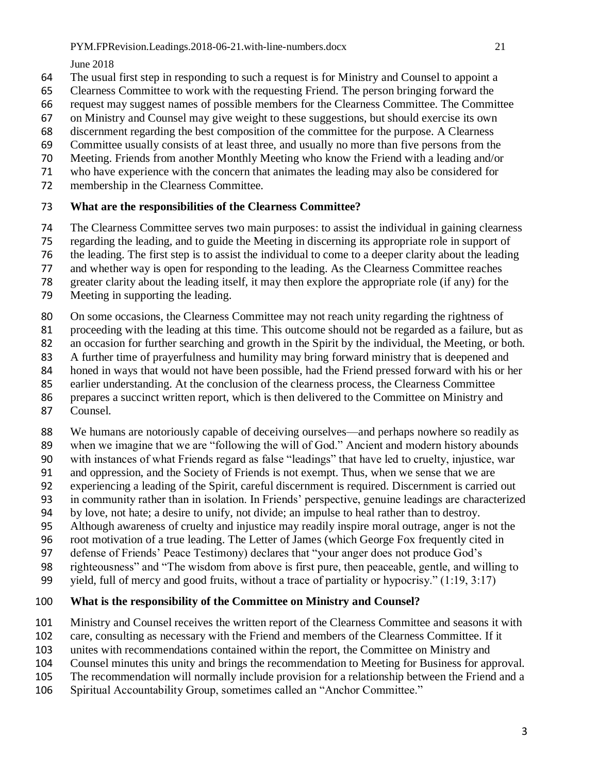June 2018

- The usual first step in responding to such a request is for Ministry and Counsel to appoint a
- Clearness Committee to work with the requesting Friend. The person bringing forward the
- request may suggest names of possible members for the Clearness Committee. The Committee
- on Ministry and Counsel may give weight to these suggestions, but should exercise its own
- discernment regarding the best composition of the committee for the purpose. A Clearness
- Committee usually consists of at least three, and usually no more than five persons from the
- Meeting. Friends from another Monthly Meeting who know the Friend with a leading and/or
- who have experience with the concern that animates the leading may also be considered for
- membership in the Clearness Committee.

#### **What are the responsibilities of the Clearness Committee?**

- The Clearness Committee serves two main purposes: to assist the individual in gaining clearness
- regarding the leading, and to guide the Meeting in discerning its appropriate role in support of
- the leading. The first step is to assist the individual to come to a deeper clarity about the leading
- and whether way is open for responding to the leading. As the Clearness Committee reaches
- greater clarity about the leading itself, it may then explore the appropriate role (if any) for the
- Meeting in supporting the leading.
- 80 On some occasions, the Clearness Committee may not reach unity regarding the rightness of
- proceeding with the leading at this time. This outcome should not be regarded as a failure, but as
- an occasion for further searching and growth in the Spirit by the individual, the Meeting, or both.
- A further time of prayerfulness and humility may bring forward ministry that is deepened and
- honed in ways that would not have been possible, had the Friend pressed forward with his or her
- earlier understanding. At the conclusion of the clearness process, the Clearness Committee
- prepares a succinct written report, which is then delivered to the Committee on Ministry and
- Counsel.
- We humans are notoriously capable of deceiving ourselves—and perhaps nowhere so readily as
- when we imagine that we are "following the will of God." Ancient and modern history abounds
- with instances of what Friends regard as false "leadings" that have led to cruelty, injustice, war
- and oppression, and the Society of Friends is not exempt. Thus, when we sense that we are experiencing a leading of the Spirit, careful discernment is required. Discernment is carried out
- in community rather than in isolation. In Friends' perspective, genuine leadings are characterized
- by love, not hate; a desire to unify, not divide; an impulse to heal rather than to destroy.
- Although awareness of cruelty and injustice may readily inspire moral outrage, anger is not the
- root motivation of a true leading. The Letter of James (which George Fox frequently cited in
- defense of Friends' Peace Testimony) declares that "your anger does not produce God's
- righteousness" and "The wisdom from above is first pure, then peaceable, gentle, and willing to
- yield, full of mercy and good fruits, without a trace of partiality or hypocrisy." (1:19, 3:17)

#### **What is the responsibility of the Committee on Ministry and Counsel?**

- Ministry and Counsel receives the written report of the Clearness Committee and seasons it with
- care, consulting as necessary with the Friend and members of the Clearness Committee. If it
- unites with recommendations contained within the report, the Committee on Ministry and
- Counsel minutes this unity and brings the recommendation to Meeting for Business for approval.
- The recommendation will normally include provision for a relationship between the Friend and a
- Spiritual Accountability Group, sometimes called an "Anchor Committee."